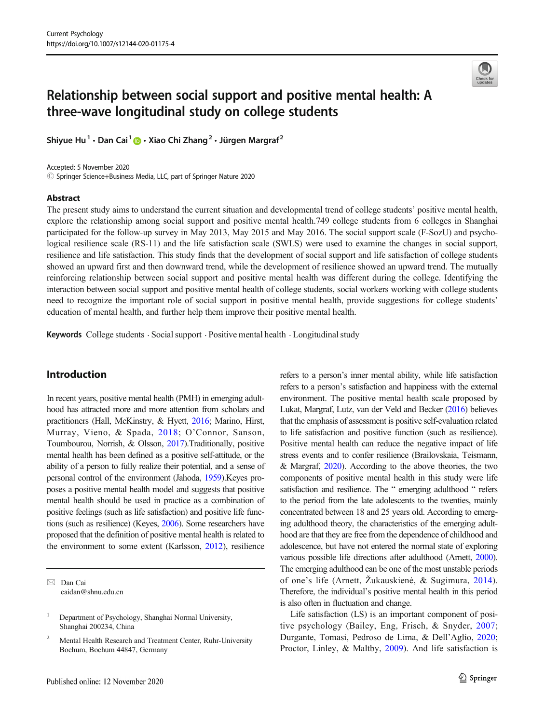# Relationship between social support and positive mental health: A three-wave longitudinal study on college students

Shiyue Hu<sup>1</sup> · Dan Cai<sup>1</sup>  $\bigcirc$  · Xiao Chi Zhang<sup>2</sup> · Jürgen Margraf<sup>2</sup>

Accepted: 5 November 2020 © Springer Science+Business Media, LLC, part of Springer Nature 2020

## Abstract



The present study aims to understand the current situation and developmental trend of college students' positive mental health, explore the relationship among social support and positive mental health.749 college students from 6 colleges in Shanghai participated for the follow-up survey in May 2013, May 2015 and May 2016. The social support scale (F-SozU) and psychological resilience scale (RS-11) and the life satisfaction scale (SWLS) were used to examine the changes in social support, resilience and life satisfaction. This study finds that the development of social support and life satisfaction of college students showed an upward first and then downward trend, while the development of resilience showed an upward trend. The mutually reinforcing relationship between social support and positive mental health was different during the college. Identifying the interaction between social support and positive mental health of college students, social workers working with college students need to recognize the important role of social support in positive mental health, provide suggestions for college students' education of mental health, and further help them improve their positive mental health.

**Keywords** College students  $\cdot$  Social support  $\cdot$  Positive mental health  $\cdot$  Longitudinal study

# Introduction

In recent years, positive mental health (PMH) in emerging adulthood has attracted more and more attention from scholars and practitioners (Hall, McKinstry, & Hyett, [2016;](#page-8-0) Marino, Hirst, Murray, Vieno, & Spada, [2018](#page-8-0); O'Connor, Sanson, Toumbourou, Norrish, & Olsson, [2017](#page-8-0)).Traditionally, positive mental health has been defined as a positive self-attitude, or the ability of a person to fully realize their potential, and a sense of personal control of the environment (Jahoda, [1959](#page-8-0)).Keyes proposes a positive mental health model and suggests that positive mental health should be used in practice as a combination of positive feelings (such as life satisfaction) and positive life functions (such as resilience) (Keyes, [2006](#page-8-0)). Some researchers have proposed that the definition of positive mental health is related to the environment to some extent (Karlsson, [2012\)](#page-8-0), resilience

 $\boxtimes$  Dan Cai [caidan@shnu.edu.cn](mailto:caidan@shnu.edu.cn) refers to a person's inner mental ability, while life satisfaction refers to a person's satisfaction and happiness with the external environment. The positive mental health scale proposed by Lukat, Margraf, Lutz, van der Veld and Becker [\(2016](#page-8-0)) believes that the emphasis of assessment is positive self-evaluation related to life satisfaction and positive function (such as resilience). Positive mental health can reduce the negative impact of life stress events and to confer resilience (Brailovskaia, Teismann, & Margraf, [2020](#page-7-0)). According to the above theories, the two components of positive mental health in this study were life satisfaction and resilience. The " emerging adulthood " refers to the period from the late adolescents to the twenties, mainly concentrated between 18 and 25 years old. According to emerging adulthood theory, the characteristics of the emerging adulthood are that they are free from the dependence of childhood and adolescence, but have not entered the normal state of exploring various possible life directions after adulthood (Arnett, [2000\)](#page-7-0). The emerging adulthood can be one of the most unstable periods of one's life (Arnett, Žukauskienė, & Sugimura, [2014](#page-7-0)). Therefore, the individual's positive mental health in this period is also often in fluctuation and change.

Life satisfaction (LS) is an important component of positive psychology (Bailey, Eng, Frisch, & Snyder, [2007;](#page-7-0) Durgante, Tomasi, Pedroso de Lima, & Dell'Aglio, [2020;](#page-7-0) Proctor, Linley, & Maltby, [2009\)](#page-8-0). And life satisfaction is

<sup>&</sup>lt;sup>1</sup> Department of Psychology, Shanghai Normal University, Shanghai 200234, China

<sup>&</sup>lt;sup>2</sup> Mental Health Research and Treatment Center, Ruhr-University Bochum, Bochum 44847, Germany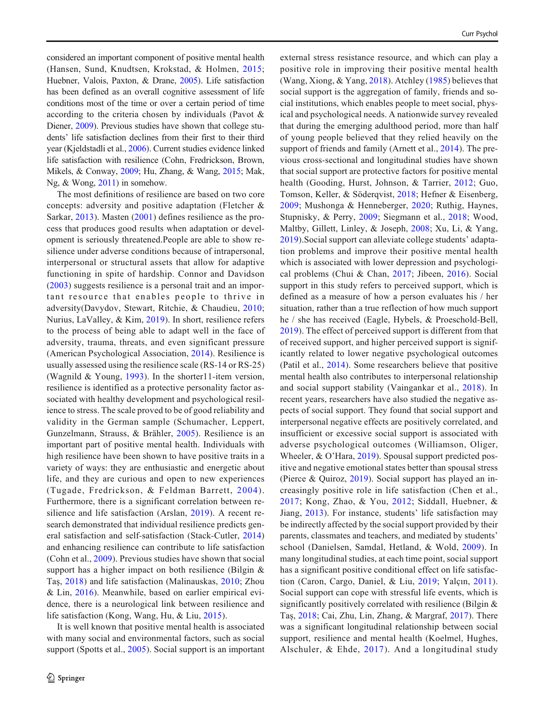considered an important component of positive mental health (Hansen, Sund, Knudtsen, Krokstad, & Holmen, [2015](#page-8-0); Huebner, Valois, Paxton, & Drane, [2005](#page-8-0)). Life satisfaction has been defined as an overall cognitive assessment of life conditions most of the time or over a certain period of time according to the criteria chosen by individuals (Pavot & Diener, [2009](#page-8-0)). Previous studies have shown that college students' life satisfaction declines from their first to their third year (Kjeldstadli et al., [2006\)](#page-8-0). Current studies evidence linked life satisfaction with resilience (Cohn, Fredrickson, Brown, Mikels, & Conway, [2009](#page-7-0); Hu, Zhang, & Wang, [2015](#page-8-0); Mak, Ng, & Wong, [2011\)](#page-8-0) in somehow.

The most definitions of resilience are based on two core concepts: adversity and positive adaptation (Fletcher & Sarkar, [2013\)](#page-7-0). Masten ([2001](#page-8-0)) defines resilience as the process that produces good results when adaptation or development is seriously threatened.People are able to show resilience under adverse conditions because of intrapersonal, interpersonal or structural assets that allow for adaptive functioning in spite of hardship. Connor and Davidson [\(2003\)](#page-7-0) suggests resilience is a personal trait and an important resource that enables people to thrive in adversity(Davydov, Stewart, Ritchie, & Chaudieu, [2010](#page-7-0); Nurius, LaValley, & Kim, [2019](#page-8-0)). In short, resilience refers to the process of being able to adapt well in the face of adversity, trauma, threats, and even significant pressure (American Psychological Association, [2014](#page-7-0)). Resilience is usually assessed using the resilience scale (RS-14 or RS-25) (Wagnild & Young, [1993](#page-9-0)). In the shorter11-item version, resilience is identified as a protective personality factor associated with healthy development and psychological resilience to stress. The scale proved to be of good reliability and validity in the German sample (Schumacher, Leppert, Gunzelmann, Strauss, & Brähler, [2005\)](#page-9-0). Resilience is an important part of positive mental health. Individuals with high resilience have been shown to have positive traits in a variety of ways: they are enthusiastic and energetic about life, and they are curious and open to new experiences (Tugade, Fredrickson, & Feldman Barrett, [2004\)](#page-9-0). Furthermore, there is a significant correlation between resilience and life satisfaction (Arslan, [2019](#page-7-0)). A recent research demonstrated that individual resilience predicts general satisfaction and self-satisfaction (Stack-Cutler, [2014\)](#page-9-0) and enhancing resilience can contribute to life satisfaction (Cohn et al., [2009\)](#page-7-0). Previous studies have shown that social support has a higher impact on both resilience (Bilgin & Taş, [2018\)](#page-7-0) and life satisfaction (Malinauskas, [2010;](#page-8-0) Zhou & Lin, [2016\)](#page-9-0). Meanwhile, based on earlier empirical evidence, there is a neurological link between resilience and life satisfaction (Kong, Wang, Hu, & Liu, [2015\)](#page-8-0).

It is well known that positive mental health is associated with many social and environmental factors, such as social support (Spotts et al., [2005\)](#page-9-0). Social support is an important external stress resistance resource, and which can play a positive role in improving their positive mental health (Wang, Xiong, & Yang, [2018\)](#page-9-0). Atchley ([1985](#page-7-0)) believes that social support is the aggregation of family, friends and social institutions, which enables people to meet social, physical and psychological needs. A nationwide survey revealed that during the emerging adulthood period, more than half of young people believed that they relied heavily on the support of friends and family (Arnett et al., [2014\)](#page-7-0). The previous cross-sectional and longitudinal studies have shown that social support are protective factors for positive mental health (Gooding, Hurst, Johnson, & Tarrier, [2012](#page-7-0); Guo, Tomson, Keller, & Söderqvist, [2018;](#page-8-0) Hefner & Eisenberg, [2009;](#page-8-0) Mushonga & Henneberger, [2020;](#page-8-0) Ruthig, Haynes, Stupnisky, & Perry, [2009;](#page-8-0) Siegmann et al., [2018;](#page-9-0) Wood, Maltby, Gillett, Linley, & Joseph, [2008;](#page-9-0) Xu, Li, & Yang, [2019](#page-9-0)).Social support can alleviate college students' adaptation problems and improve their positive mental health which is associated with lower depression and psychological problems (Chui & Chan, [2017;](#page-7-0) Jibeen, [2016](#page-8-0)). Social support in this study refers to perceived support, which is defined as a measure of how a person evaluates his / her situation, rather than a true reflection of how much support he / she has received (Eagle, Hybels, & Proeschold-Bell, [2019](#page-7-0)). The effect of perceived support is different from that of received support, and higher perceived support is significantly related to lower negative psychological outcomes (Patil et al., [2014\)](#page-8-0). Some researchers believe that positive mental health also contributes to interpersonal relationship and social support stability (Vaingankar et al., [2018](#page-9-0)). In recent years, researchers have also studied the negative aspects of social support. They found that social support and interpersonal negative effects are positively correlated, and insufficient or excessive social support is associated with adverse psychological outcomes (Williamson, Oliger, Wheeler, & O'Hara, [2019](#page-9-0)). Spousal support predicted positive and negative emotional states better than spousal stress (Pierce & Quiroz, [2019\)](#page-8-0). Social support has played an increasingly positive role in life satisfaction (Chen et al., [2017](#page-7-0); Kong, Zhao, & You, [2012](#page-8-0); Siddall, Huebner, & Jiang, [2013](#page-9-0)). For instance, students' life satisfaction may be indirectly affected by the social support provided by their parents, classmates and teachers, and mediated by students' school (Danielsen, Samdal, Hetland, & Wold, [2009](#page-7-0)). In many longitudinal studies, at each time point, social support has a significant positive conditional effect on life satisfaction (Caron, Cargo, Daniel, & Liu, [2019;](#page-7-0) Yalçın, [2011](#page-9-0)). Social support can cope with stressful life events, which is significantly positively correlated with resilience (Bilgin & Taş, [2018](#page-7-0); Cai, Zhu, Lin, Zhang, & Margraf, [2017](#page-7-0)). There was a significant longitudinal relationship between social support, resilience and mental health (Koelmel, Hughes, Alschuler, & Ehde, [2017](#page-8-0)). And a longitudinal study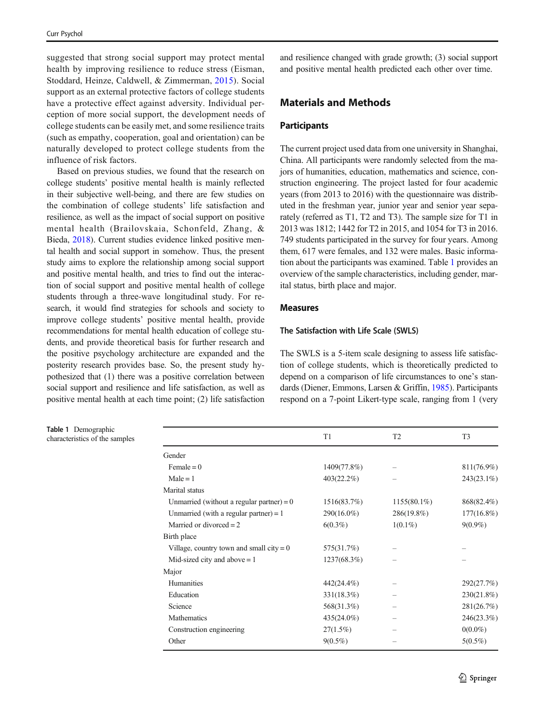suggested that strong social support may protect mental health by improving resilience to reduce stress (Eisman, Stoddard, Heinze, Caldwell, & Zimmerman, [2015](#page-7-0)). Social support as an external protective factors of college students have a protective effect against adversity. Individual perception of more social support, the development needs of college students can be easily met, and some resilience traits (such as empathy, cooperation, goal and orientation) can be naturally developed to protect college students from the influence of risk factors.

Based on previous studies, we found that the research on college students' positive mental health is mainly reflected in their subjective well-being, and there are few studies on the combination of college students' life satisfaction and resilience, as well as the impact of social support on positive mental health (Brailovskaia, Schonfeld, Zhang, & Bieda, [2018\)](#page-7-0). Current studies evidence linked positive mental health and social support in somehow. Thus, the present study aims to explore the relationship among social support and positive mental health, and tries to find out the interaction of social support and positive mental health of college students through a three-wave longitudinal study. For research, it would find strategies for schools and society to improve college students' positive mental health, provide recommendations for mental health education of college students, and provide theoretical basis for further research and the positive psychology architecture are expanded and the posterity research provides base. So, the present study hypothesized that (1) there was a positive correlation between social support and resilience and life satisfaction, as well as positive mental health at each time point; (2) life satisfaction

Table 1 Demographic characteristics of the samples

and resilience changed with grade growth; (3) social support and positive mental health predicted each other over time.

# Materials and Methods

## Participants

The current project used data from one university in Shanghai, China. All participants were randomly selected from the majors of humanities, education, mathematics and science, construction engineering. The project lasted for four academic years (from 2013 to 2016) with the questionnaire was distributed in the freshman year, junior year and senior year separately (referred as T1, T2 and T3). The sample size for T1 in 2013 was 1812; 1442 for T2 in 2015, and 1054 for T3 in 2016. 749 students participated in the survey for four years. Among them, 617 were females, and 132 were males. Basic information about the participants was examined. Table 1 provides an overview of the sample characteristics, including gender, marital status, birth place and major.

#### Measures

#### The Satisfaction with Life Scale (SWLS)

The SWLS is a 5-item scale designing to assess life satisfaction of college students, which is theoretically predicted to depend on a comparison of life circumstances to one's standards (Diener, Emmons, Larsen & Griffin, [1985](#page-7-0)). Participants respond on a 7-point Likert-type scale, ranging from 1 (very

|                                             | T1          | T <sub>2</sub> | T <sub>3</sub> |
|---------------------------------------------|-------------|----------------|----------------|
| Gender                                      |             |                |                |
| $Female = 0$                                | 1409(77.8%) |                | 811(76.9%)     |
| $Male = 1$                                  | 403(22.2%)  |                | 243(23.1%)     |
| Marital status                              |             |                |                |
| Unmarried (without a regular partner) = $0$ | 1516(83.7%) | $1155(80.1\%)$ | 868(82.4%)     |
| Unmarried (with a regular partner) $= 1$    | 290(16.0%)  | 286(19.8%)     | $177(16.8\%)$  |
| Married or divorced $= 2$                   | $6(0.3\%)$  | $1(0.1\%)$     | $9(0.9\%)$     |
| Birth place                                 |             |                |                |
| Village, country town and small $city = 0$  | 575(31.7%)  |                |                |
| Mid-sized city and above $= 1$              | 1237(68.3%) |                |                |
| Major                                       |             |                |                |
| Humanities                                  | 442(24.4%)  |                | 292(27.7%)     |
| Education                                   | 331(18.3%)  |                | 230(21.8%)     |
| Science                                     | 568(31.3%)  |                | 281(26.7%)     |
| Mathematics                                 | 435(24.0%)  |                | 246(23.3%)     |
| Construction engineering                    | $27(1.5\%)$ |                | $0(0.0\%)$     |
| Other                                       | $9(0.5\%)$  |                | $5(0.5\%)$     |
|                                             |             |                |                |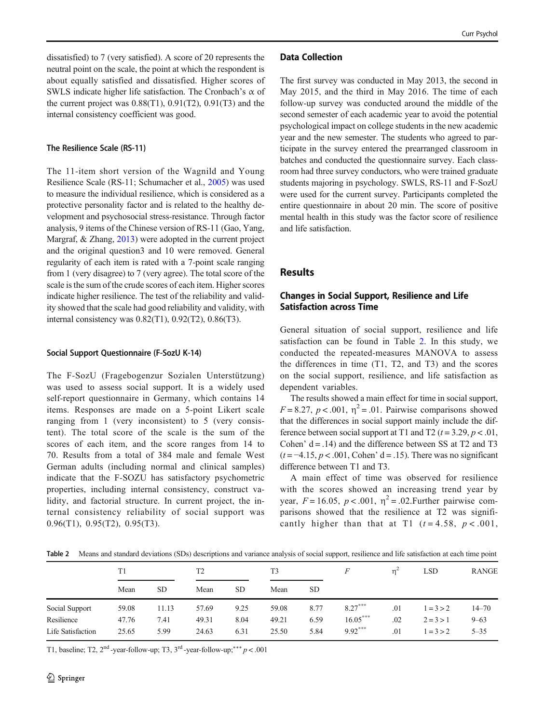dissatisfied) to 7 (very satisfied). A score of 20 represents the neutral point on the scale, the point at which the respondent is about equally satisfied and dissatisfied. Higher scores of SWLS indicate higher life satisfaction. The Cronbach's  $\alpha$  of the current project was  $0.88(T1)$ ,  $0.91(T2)$ ,  $0.91(T3)$  and the internal consistency coefficient was good.

#### The Resilience Scale (RS-11)

The 11-item short version of the Wagnild and Young Resilience Scale (RS-11; Schumacher et al., [2005\)](#page-9-0) was used to measure the individual resilience, which is considered as a protective personality factor and is related to the healthy development and psychosocial stress-resistance. Through factor analysis, 9 items of the Chinese version of RS-11 (Gao, Yang, Margraf, & Zhang, [2013](#page-7-0)) were adopted in the current project and the original question3 and 10 were removed. General regularity of each item is rated with a 7-point scale ranging from 1 (very disagree) to 7 (very agree). The total score of the scale is the sum of the crude scores of each item. Higher scores indicate higher resilience. The test of the reliability and validity showed that the scale had good reliability and validity, with internal consistency was 0.82(T1), 0.92(T2), 0.86(T3).

#### Social Support Questionnaire (F-SozU K-14)

The F-SozU (Fragebogenzur Sozialen Unterstützung) was used to assess social support. It is a widely used self-report questionnaire in Germany, which contains 14 items. Responses are made on a 5-point Likert scale ranging from 1 (very inconsistent) to 5 (very consistent). The total score of the scale is the sum of the scores of each item, and the score ranges from 14 to 70. Results from a total of 384 male and female West German adults (including normal and clinical samples) indicate that the F-SOZU has satisfactory psychometric properties, including internal consistency, construct validity, and factorial structure. In current project, the internal consistency reliability of social support was 0.96(T1), 0.95(T2), 0.95(T3).

#### Data Collection

The first survey was conducted in May 2013, the second in May 2015, and the third in May 2016. The time of each follow-up survey was conducted around the middle of the second semester of each academic year to avoid the potential psychological impact on college students in the new academic year and the new semester. The students who agreed to participate in the survey entered the prearranged classroom in batches and conducted the questionnaire survey. Each classroom had three survey conductors, who were trained graduate students majoring in psychology. SWLS, RS-11 and F-SozU were used for the current survey. Participants completed the entire questionnaire in about 20 min. The score of positive mental health in this study was the factor score of resilience and life satisfaction.

## Results

## Changes in Social Support, Resilience and Life Satisfaction across Time

General situation of social support, resilience and life satisfaction can be found in Table 2. In this study, we conducted the repeated-measures MANOVA to assess the differences in time (T1, T2, and T3) and the scores on the social support, resilience, and life satisfaction as dependent variables.

The results showed a main effect for time in social support,  $F = 8.27$ ,  $p < .001$ ,  $\eta^2 = .01$ . Pairwise comparisons showed that the differences in social support mainly include the difference between social support at T1 and T2 ( $t = 3.29$ ,  $p < .01$ , Cohen'  $d = .14$ ) and the difference between SS at T2 and T3  $(t = -4.15, p < .001,$  Cohen' d = .15). There was no significant difference between T1 and T3.

A main effect of time was observed for resilience with the scores showed an increasing trend year by year,  $F = 16.05$ ,  $p < .001$ ,  $\eta^2 = .02$ . Further pairwise comparisons showed that the resilience at T2 was significantly higher than that at T1  $(t = 4.58, p < .001,$ 

Table 2 Means and standard deviations (SDs) descriptions and variance analysis of social support, resilience and life satisfaction at each time point

|                   | T1    |           | T2    |           | T3    |           | F          | n <sup>2</sup> | LSD         | <b>RANGE</b> |
|-------------------|-------|-----------|-------|-----------|-------|-----------|------------|----------------|-------------|--------------|
|                   | Mean  | <b>SD</b> | Mean  | <b>SD</b> | Mean  | <b>SD</b> |            |                |             |              |
| Social Support    | 59.08 | 11.13     | 57.69 | 9.25      | 59.08 | 8.77      | $8.27***$  | .01            | $1 = 3 > 2$ | $14 - 70$    |
| Resilience        | 47.76 | 7.41      | 49.31 | 8.04      | 49.21 | 6.59      | $16.05***$ | .02            | $2 = 3 > 1$ | $9 - 63$     |
| Life Satisfaction | 25.65 | 5.99      | 24.63 | 6.31      | 25.50 | 5.84      | $9.92***$  | .01            | $1 = 3 > 2$ | $5 - 35$     |

T1, baseline; T2,  $2<sup>nd</sup>$ -year-follow-up; T3,  $3<sup>rd</sup>$ -year-follow-up;<sup>\*\*\*</sup>  $p < .001$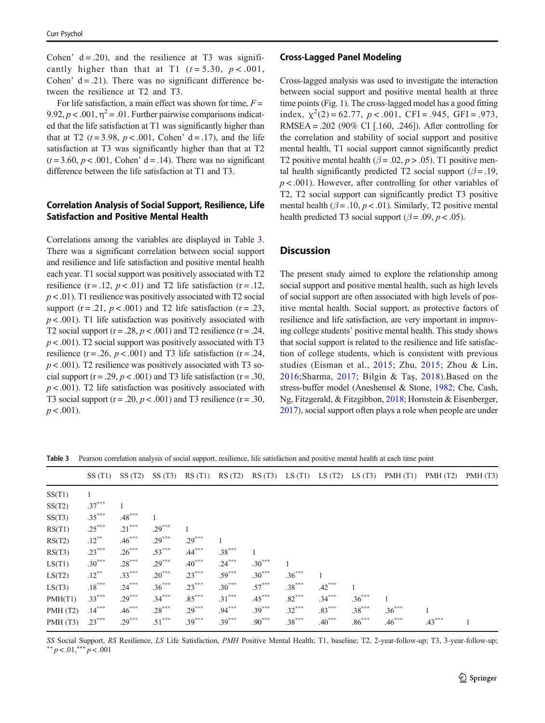Cohen'  $d = .20$ , and the resilience at T3 was significantly higher than that at T1  $(t = 5.30, p < .001,$ Cohen'  $d = .21$ ). There was no significant difference between the resilience at T2 and T3.

For life satisfaction, a main effect was shown for time,  $F =$ 9.92,  $p < .001$ ,  $\eta^2 = .01$ . Further pairwise comparisons indicated that the life satisfaction at T1 was significantly higher than that at T2 ( $t = 3.98$ ,  $p < .001$ , Cohen' d = .17), and the life satisfaction at T3 was significantly higher than that at T2  $(t = 3.60, p < .001,$  Cohen' d = .14). There was no significant difference between the life satisfaction at T1 and T3.

## Correlation Analysis of Social Support, Resilience, Life Satisfaction and Positive Mental Health

Correlations among the variables are displayed in Table 3. There was a significant correlation between social support and resilience and life satisfaction and positive mental health each year. T1 social support was positively associated with T2 resilience  $(r = .12, p < .01)$  and T2 life satisfaction  $(r = .12,$  $p < .01$ ). T1 resilience was positively associated with T2 social support ( $r = .21$ ,  $p < .001$ ) and T2 life satisfaction ( $r = .23$ ,  $p < .001$ ). T1 life satisfaction was positively associated with T2 social support ( $r = .28$ ,  $p < .001$ ) and T2 resilience ( $r = .24$ ,  $p < .001$ ). T2 social support was positively associated with T3 resilience (r = .26,  $p < .001$ ) and T3 life satisfaction (r = .24,  $p < .001$ ). T2 resilience was positively associated with T3 social support ( $r = .29$ ,  $p < .001$ ) and T3 life satisfaction ( $r = .30$ ,  $p < .001$ ). T2 life satisfaction was positively associated with T3 social support ( $r = .20$ ,  $p < .001$ ) and T3 resilience ( $r = .30$ ,  $p < .001$ ).

#### Cross-Lagged Panel Modeling

Cross-lagged analysis was used to investigate the interaction between social support and positive mental health at three time points (Fig. [1](#page-5-0)). The cross-lagged model has a good fitting index,  $\chi^2(2) = 62.77$ ,  $p < .001$ , CFI = .945, GFI = .973, RMSEA = .202 (90% CI [.160, .246]). After controlling for the correlation and stability of social support and positive mental health, T1 social support cannot significantly predict T2 positive mental health ( $\beta$  = .02, p > .05). T1 positive mental health significantly predicted T2 social support ( $\beta$  = .19,  $p < .001$ ). However, after controlling for other variables of T2, T2 social support can significantly predict T3 positive mental health ( $\beta$  = .10,  $p$  < .01). Similarly, T2 positive mental health predicted T3 social support ( $\beta$  = .09, p < .05).

## **Discussion**

The present study aimed to explore the relationship among social support and positive mental health, such as high levels of social support are often associated with high levels of positive mental health. Social support, as protective factors of resilience and life satisfaction, are very important in improving college students' positive mental health. This study shows that social support is related to the resilience and life satisfaction of college students, which is consistent with previous studies (Eisman et al., [2015](#page-7-0); Zhu, [2015;](#page-9-0) Zhou & Lin, [2016](#page-9-0);Sharma, [2017](#page-9-0); Bilgin & Taş, [2018](#page-7-0)).Based on the stress-buffer model (Aneshensel & Stone, [1982;](#page-7-0) Che, Cash, Ng, Fitzgerald, & Fitzgibbon, [2018](#page-7-0); Hornstein & Eisenberger, [2017\)](#page-8-0), social support often plays a role when people are under

|         | SS(T1)   | SS(T2)   | SS(T3)               | RS(T1)   | RS(T2)   |          | $RS(T3)$ $LS(T1)$    | LS $(T2)$ LS $(T3)$ |          | PMH(T1)  | PMH(T2)  | PMH(T3) |
|---------|----------|----------|----------------------|----------|----------|----------|----------------------|---------------------|----------|----------|----------|---------|
| SS(T1)  |          |          |                      |          |          |          |                      |                     |          |          |          |         |
| SS(T2)  | $.37***$ |          |                      |          |          |          |                      |                     |          |          |          |         |
| SS(T3)  | $.35***$ | $.48***$ |                      |          |          |          |                      |                     |          |          |          |         |
| RS(T1)  | $.25***$ | $.21***$ | $.29***$             |          |          |          |                      |                     |          |          |          |         |
| RS(T2)  | $.12***$ | $.46***$ | $.29***$             | $.29***$ |          |          |                      |                     |          |          |          |         |
| RS(T3)  | $.23***$ | $.26***$ | $.53***$             | $.44***$ | $.38***$ |          |                      |                     |          |          |          |         |
| LS(T1)  | $.30***$ | $.28***$ | $.29***$             | $.40***$ | $.24***$ | $.30***$ |                      |                     |          |          |          |         |
| LS(T2)  | $.12***$ | $.33***$ | $.20***$             | $.23***$ | $.59***$ | $.30***$ | $.36***$             |                     |          |          |          |         |
| LS(T3)  | $.18***$ | $.24***$ | $.36***$             | $.23***$ | $.30***$ | $.57***$ | $.38***$             | $.42***$            |          |          |          |         |
| PMH(T1) | $.33***$ | $.29***$ | $.34***$             | $.85***$ | $.31***$ | $.45***$ | $.82***$             | $.34***$            | $.36***$ |          |          |         |
| PMH(T2) | $.14***$ | $.46***$ | $.28***$             | $.29***$ | $.94***$ | $.39***$ | $.32***$             | $.83***$            | $.38***$ | $.36***$ |          |         |
| PMH(T3) | $.23***$ | $.29***$ | $.51^{\ast\ast\ast}$ | $.39***$ | $.39***$ | $.90***$ | $.38^{\ast\ast\ast}$ | $.40***$            | $.86***$ | $.46***$ | $.43***$ |         |

Table 3 Pearson correlation analysis of social support, resilience, life satisfaction and positive mental health at each time point

SS Social Support, RS Resilience, LS Life Satisfaction, PMH Positive Mental Health; T1, baseline; T2, 2-year-follow-up; T3, 3-year-follow-up; <sup>\*\*</sup> p < .01,\*\*\* p < .001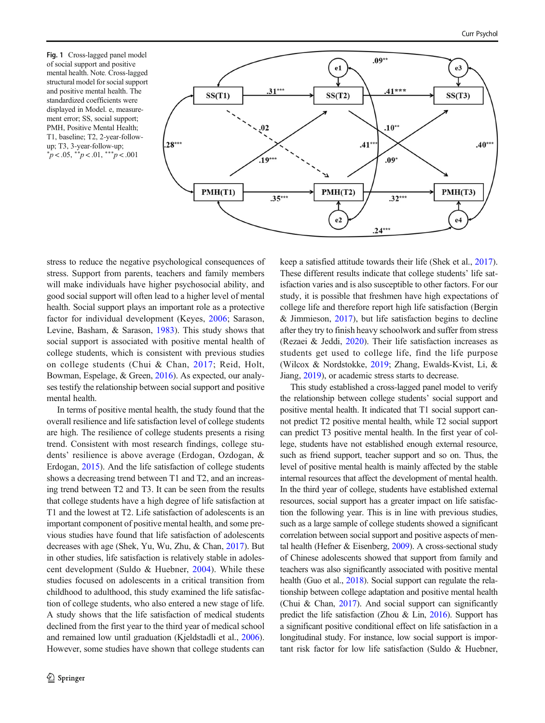<span id="page-5-0"></span>Fig. 1 Cross-lagged panel model of social support and positive mental health. Note. Cross-lagged structural model for social support and positive mental health. The standardized coefficients were displayed in Model. e, measurement error; SS, social support; PMH, Positive Mental Health; T1, baseline; T2, 2-year-followup; T3, 3-year-follow-up;  $p < .05,$  \*\* $p < .01,$  \*\*\* $p < .001$ 



stress to reduce the negative psychological consequences of stress. Support from parents, teachers and family members will make individuals have higher psychosocial ability, and good social support will often lead to a higher level of mental health. Social support plays an important role as a protective factor for individual development (Keyes, [2006](#page-8-0); Sarason, Levine, Basham, & Sarason, [1983\)](#page-8-0). This study shows that social support is associated with positive mental health of college students, which is consistent with previous studies on college students (Chui & Chan, [2017;](#page-7-0) Reid, Holt, Bowman, Espelage, & Green, [2016](#page-8-0)). As expected, our analyses testify the relationship between social support and positive mental health.

In terms of positive mental health, the study found that the overall resilience and life satisfaction level of college students are high. The resilience of college students presents a rising trend. Consistent with most research findings, college students' resilience is above average (Erdogan, Ozdogan, & Erdogan, [2015](#page-7-0)). And the life satisfaction of college students shows a decreasing trend between T1 and T2, and an increasing trend between T2 and T3. It can be seen from the results that college students have a high degree of life satisfaction at T1 and the lowest at T2. Life satisfaction of adolescents is an important component of positive mental health, and some previous studies have found that life satisfaction of adolescents decreases with age (Shek, Yu, Wu, Zhu, & Chan, [2017\)](#page-9-0). But in other studies, life satisfaction is relatively stable in adolescent development (Suldo & Huebner, [2004\)](#page-9-0). While these studies focused on adolescents in a critical transition from childhood to adulthood, this study examined the life satisfaction of college students, who also entered a new stage of life. A study shows that the life satisfaction of medical students declined from the first year to the third year of medical school and remained low until graduation (Kjeldstadli et al., [2006\)](#page-8-0). However, some studies have shown that college students can

keep a satisfied attitude towards their life (Shek et al., [2017\)](#page-9-0). These different results indicate that college students' life satisfaction varies and is also susceptible to other factors. For our study, it is possible that freshmen have high expectations of college life and therefore report high life satisfaction (Bergin & Jimmieson, [2017\)](#page-7-0), but life satisfaction begins to decline after they try to finish heavy schoolwork and suffer from stress (Rezaei & Jeddi, [2020\)](#page-8-0). Their life satisfaction increases as students get used to college life, find the life purpose (Wilcox & Nordstokke, [2019;](#page-9-0) Zhang, Ewalds-Kvist, Li, & Jiang, [2019](#page-9-0)), or academic stress starts to decrease.

This study established a cross-lagged panel model to verify the relationship between college students' social support and positive mental health. It indicated that T1 social support cannot predict T2 positive mental health, while T2 social support can predict T3 positive mental health. In the first year of college, students have not established enough external resource, such as friend support, teacher support and so on. Thus, the level of positive mental health is mainly affected by the stable internal resources that affect the development of mental health. In the third year of college, students have established external resources, social support has a greater impact on life satisfaction the following year. This is in line with previous studies, such as a large sample of college students showed a significant correlation between social support and positive aspects of mental health (Hefner & Eisenberg, [2009\)](#page-8-0). A cross-sectional study of Chinese adolescents showed that support from family and teachers was also significantly associated with positive mental health (Guo et al., [2018\)](#page-8-0). Social support can regulate the relationship between college adaptation and positive mental health (Chui & Chan, [2017\)](#page-7-0). And social support can significantly predict the life satisfaction (Zhou & Lin, [2016\)](#page-9-0). Support has a significant positive conditional effect on life satisfaction in a longitudinal study. For instance, low social support is important risk factor for low life satisfaction (Suldo & Huebner,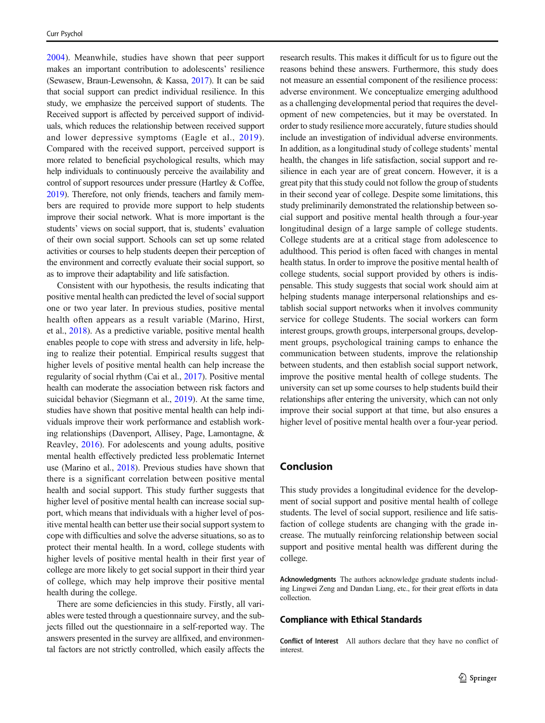[2004](#page-9-0)). Meanwhile, studies have shown that peer support makes an important contribution to adolescents' resilience (Sewasew, Braun-Lewensohn, & Kassa, [2017](#page-9-0)). It can be said that social support can predict individual resilience. In this study, we emphasize the perceived support of students. The Received support is affected by perceived support of individuals, which reduces the relationship between received support and lower depressive symptoms (Eagle et al., [2019](#page-7-0)). Compared with the received support, perceived support is more related to beneficial psychological results, which may help individuals to continuously perceive the availability and control of support resources under pressure (Hartley & Coffee, [2019](#page-8-0)). Therefore, not only friends, teachers and family members are required to provide more support to help students improve their social network. What is more important is the students' views on social support, that is, students' evaluation of their own social support. Schools can set up some related activities or courses to help students deepen their perception of the environment and correctly evaluate their social support, so as to improve their adaptability and life satisfaction.

Consistent with our hypothesis, the results indicating that positive mental health can predicted the level of social support one or two year later. In previous studies, positive mental health often appears as a result variable (Marino, Hirst, et al., [2018](#page-8-0)). As a predictive variable, positive mental health enables people to cope with stress and adversity in life, helping to realize their potential. Empirical results suggest that higher levels of positive mental health can help increase the regularity of social rhythm (Cai et al., [2017\)](#page-7-0). Positive mental health can moderate the association between risk factors and suicidal behavior (Siegmann et al., [2019](#page-9-0)). At the same time, studies have shown that positive mental health can help individuals improve their work performance and establish working relationships (Davenport, Allisey, Page, Lamontagne, & Reavley, [2016\)](#page-7-0). For adolescents and young adults, positive mental health effectively predicted less problematic Internet use (Marino et al., [2018](#page-8-0)). Previous studies have shown that there is a significant correlation between positive mental health and social support. This study further suggests that higher level of positive mental health can increase social support, which means that individuals with a higher level of positive mental health can better use their social support system to cope with difficulties and solve the adverse situations, so as to protect their mental health. In a word, college students with higher levels of positive mental health in their first year of college are more likely to get social support in their third year of college, which may help improve their positive mental health during the college.

There are some deficiencies in this study. Firstly, all variables were tested through a questionnaire survey, and the subjects filled out the questionnaire in a self-reported way. The answers presented in the survey are allfixed, and environmental factors are not strictly controlled, which easily affects the research results. This makes it difficult for us to figure out the reasons behind these answers. Furthermore, this study does not measure an essential component of the resilience process: adverse environment. We conceptualize emerging adulthood as a challenging developmental period that requires the development of new competencies, but it may be overstated. In order to study resilience more accurately, future studies should include an investigation of individual adverse environments. In addition, as a longitudinal study of college students' mental health, the changes in life satisfaction, social support and resilience in each year are of great concern. However, it is a great pity that this study could not follow the group of students in their second year of college. Despite some limitations, this study preliminarily demonstrated the relationship between social support and positive mental health through a four-year longitudinal design of a large sample of college students. College students are at a critical stage from adolescence to adulthood. This period is often faced with changes in mental health status. In order to improve the positive mental health of college students, social support provided by others is indispensable. This study suggests that social work should aim at helping students manage interpersonal relationships and establish social support networks when it involves community service for college Students. The social workers can form interest groups, growth groups, interpersonal groups, development groups, psychological training camps to enhance the communication between students, improve the relationship between students, and then establish social support network, improve the positive mental health of college students. The university can set up some courses to help students build their relationships after entering the university, which can not only improve their social support at that time, but also ensures a higher level of positive mental health over a four-year period.

## Conclusion

This study provides a longitudinal evidence for the development of social support and positive mental health of college students. The level of social support, resilience and life satisfaction of college students are changing with the grade increase. The mutually reinforcing relationship between social support and positive mental health was different during the college.

Acknowledgments The authors acknowledge graduate students including Lingwei Zeng and Dandan Liang, etc., for their great efforts in data collection.

#### Compliance with Ethical Standards

Conflict of Interest All authors declare that they have no conflict of interest.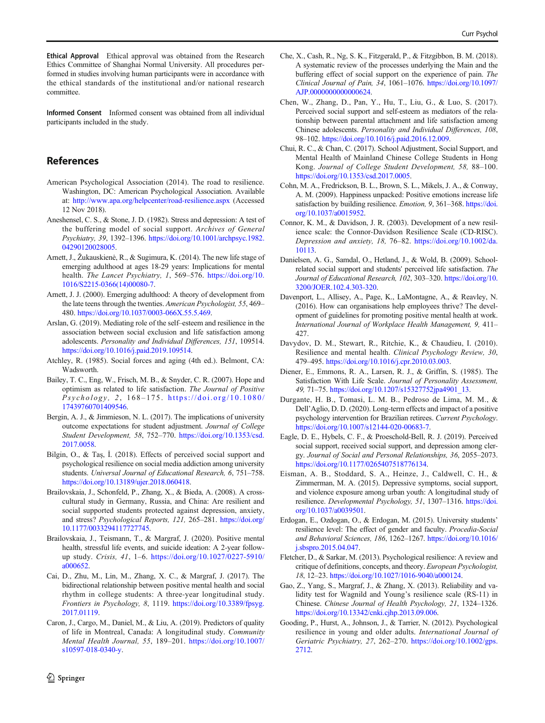<span id="page-7-0"></span>Ethical Approval Ethical approval was obtained from the Research Ethics Committee of Shanghai Normal University. All procedures performed in studies involving human participants were in accordance with the ethical standards of the institutional and/or national research committee.

Informed Consent Informed consent was obtained from all individual participants included in the study.

## References

- American Psychological Association (2014). The road to resilience. Washington, DC: American Psychological Association. Available at: [http://www.apa.org/helpcenter/road-resilience.aspx](http://www.apa.org/helpcenter/road-esilience.aspx) (Accessed 12 Nov 2018).
- Aneshensel, C. S., & Stone, J. D. (1982). Stress and depression: A test of the buffering model of social support. Archives of General Psychiatry, 39, 1392–1396. [https://doi.org/10.1001/archpsyc.1982.](https://doi.org/10.1001/archpsyc.1982.04290120028005) [04290120028005.](https://doi.org/10.1001/archpsyc.1982.04290120028005)
- Arnett, J., Žukauskienė, R., & Sugimura, K. (2014). The new life stage of emerging adulthood at ages 18-29 years: Implications for mental health. The Lancet Psychiatry, 1, 569-576. [https://doi.org/10.](https://doi.org/10.1016/S2215-0366(14)00080-7) [1016/S2215-0366\(14\)00080-7.](https://doi.org/10.1016/S2215-0366(14)00080-7)
- Arnett, J. J. (2000). Emerging adulthood: A theory of development from the late teens through the twenties. American Psychologist, 55, 469– 480. <https://doi.org/10.1037/0003-066X.55.5.469>.
- Arslan, G. (2019). Mediating role of the self–esteem and resilience in the association between social exclusion and life satisfaction among adolescents. Personality and Individual Differences, 151, 109514. [https://doi.org/10.1016/j.paid.2019.109514.](https://doi.org/10.1016/j.paid.2019.109514)
- Atchley, R. (1985). Social forces and aging (4th ed.). Belmont, CA: Wadsworth
- Bailey, T. C., Eng, W., Frisch, M. B., & Snyder, C. R. (2007). Hope and optimism as related to life satisfaction. The Journal of Positive Psychology, 2, 168-175. [https://doi.org/10.1080/](https://doi.org/10.1080/17439760701409546) [17439760701409546](https://doi.org/10.1080/17439760701409546).
- Bergin, A. J., & Jimmieson, N. L. (2017). The implications of university outcome expectations for student adjustment. Journal of College Student Development, 58, 752–770. [https://doi.org/10.1353/csd.](https://doi.org/10.1353/csd.2017.0058) [2017.0058](https://doi.org/10.1353/csd.2017.0058).
- Bilgin, O., & Taş, İ. (2018). Effects of perceived social support and psychological resilience on social media addiction among university students. Universal Journal of Educational Research, 6, 751–758. <https://doi.org/10.13189/ujer.2018.060418>.
- Brailovskaia, J., Schonfeld, P., Zhang, X., & Bieda, A. (2008). A crosscultural study in Germany, Russia, and China: Are resilient and social supported students protected against depression, anxiety, and stress? Psychological Reports, 121, 265–281. [https://doi.org/](https://doi.org/10.1177/0033294117727745) [10.1177/0033294117727745](https://doi.org/10.1177/0033294117727745).
- Brailovskaia, J., Teismann, T., & Margraf, J. (2020). Positive mental health, stressful life events, and suicide ideation: A 2-year followup study. Crisis, 41, 1–6. [https://doi.org/10.1027/0227-5910/](https://doi.org/10.1027/0227-5910/a000652) [a000652](https://doi.org/10.1027/0227-5910/a000652).
- Cai, D., Zhu, M., Lin, M., Zhang, X. C., & Margraf, J. (2017). The bidirectional relationship between positive mental health and social rhythm in college students: A three-year longitudinal study. Frontiers in Psychology, 8, 1119. [https://doi.org/10.3389/fpsyg.](https://doi.org/10.3389/fpsyg.2017.01119) [2017.01119](https://doi.org/10.3389/fpsyg.2017.01119).
- Caron, J., Cargo, M., Daniel, M., & Liu, A. (2019). Predictors of quality of life in Montreal, Canada: A longitudinal study. Community Mental Health Journal, 55, 189–201. [https://doi.org/10.1007/](https://doi.org/10.1007/s10597-018-0340-y) [s10597-018-0340-y.](https://doi.org/10.1007/s10597-018-0340-y)
- Che, X., Cash, R., Ng, S. K., Fitzgerald, P., & Fitzgibbon, B. M. (2018). A systematic review of the processes underlying the Main and the buffering effect of social support on the experience of pain. The Clinical Journal of Pain, 34, 1061–1076. [https://doi.org/10.1097/](https://doi.org/10.1097/AJP.0000000000000624) [AJP.0000000000000624](https://doi.org/10.1097/AJP.0000000000000624).
- Chen, W., Zhang, D., Pan, Y., Hu, T., Liu, G., & Luo, S. (2017). Perceived social support and self-esteem as mediators of the relationship between parental attachment and life satisfaction among Chinese adolescents. Personality and Individual Differences, 108, 98–102. [https://doi.org/10.1016/j.paid.2016.12.009.](https://doi.org/10.1016/j.paid.2016.12.009)
- Chui, R. C., & Chan, C. (2017). School Adjustment, Social Support, and Mental Health of Mainland Chinese College Students in Hong Kong. Journal of College Student Development, 58, 88–100. <https://doi.org/10.1353/csd.2017.0005>.
- Cohn, M. A., Fredrickson, B. L., Brown, S. L., Mikels, J. A., & Conway, A. M. (2009). Happiness unpacked: Positive emotions increase life satisfaction by building resilience. *Emotion*, 9, 361–368. [https://doi.](https://doi.org/10.1037/a0015952) [org/10.1037/a0015952.](https://doi.org/10.1037/a0015952)
- Connor, K. M., & Davidson, J. R. (2003). Development of a new resilience scale: the Connor-Davidson Resilience Scale (CD-RISC). Depression and anxiety, 18, 76–82. [https://doi.org/10.1002/da.](https://doi.org/10.1002/da.10113) [10113.](https://doi.org/10.1002/da.10113)
- Danielsen, A. G., Samdal, O., Hetland, J., & Wold, B. (2009). Schoolrelated social support and students' perceived life satisfaction. The Journal of Educational Research, 102, 303-320. [https://doi.org/10.](https://doi.org/10.3200/JOER.102.4.303-320) [3200/JOER.102.4.303-320.](https://doi.org/10.3200/JOER.102.4.303-320)
- Davenport, L., Allisey, A., Page, K., LaMontagne, A., & Reavley, N. (2016). How can organisations help employees thrive? The development of guidelines for promoting positive mental health at work. International Journal of Workplace Health Management, 9, 411– 427.
- Davydov, D. M., Stewart, R., Ritchie, K., & Chaudieu, I. (2010). Resilience and mental health. Clinical Psychology Review, 30, 479–495. <https://doi.org/10.1016/j.cpr.2010.03.003>.
- Diener, E., Emmons, R. A., Larsen, R. J., & Griffin, S. (1985). The Satisfaction With Life Scale. Journal of Personality Assessment, 49, 71–75. [https://doi.org/10.1207/s15327752jpa4901\\_13.](https://doi.org/10.1207/s15327752jpa4901_13)
- Durgante, H. B., Tomasi, L. M. B., Pedroso de Lima, M. M., & Dell'Aglio, D. D. (2020). Long-term effects and impact of a positive psychology intervention for Brazilian retirees. Current Psychology. <https://doi.org/10.1007/s12144-020-00683-7>.
- Eagle, D. E., Hybels, C. F., & Proeschold-Bell, R. J. (2019). Perceived social support, received social support, and depression among clergy. Journal of Social and Personal Relationships, 36, 2055–2073. <https://doi.org/10.1177/0265407518776134>.
- Eisman, A. B., Stoddard, S. A., Heinze, J., Caldwell, C. H., & Zimmerman, M. A. (2015). Depressive symptoms, social support, and violence exposure among urban youth: A longitudinal study of resilience. Developmental Psychology, 51, 1307–1316. [https://doi.](https://doi.org/10.1037/a0039501) [org/10.1037/a0039501.](https://doi.org/10.1037/a0039501)
- Erdogan, E., Ozdogan, O., & Erdogan, M. (2015). University students' resilience level: The effect of gender and faculty. Procedia-Social and Behavioral Sciences, 186, 1262–1267. [https://doi.org/10.1016/](https://doi.org/10.1016/j.sbspro.2015.04.047) [j.sbspro.2015.04.047.](https://doi.org/10.1016/j.sbspro.2015.04.047)
- Fletcher, D., & Sarkar, M. (2013). Psychological resilience: A review and critique of definitions, concepts, and theory. European Psychologist, 18, 12–23. [https://doi.org/10.1027/1016-9040/a000124.](https://doi.org/10.1027/1016-9040/a000124)
- Gao, Z., Yang, S., Margraf, J., & Zhang, X. (2013). Reliability and validity test for Wagnild and Young's resilience scale (RS-11) in Chinese. Chinese Journal of Health Psychology, 21, 1324–1326. [https://doi.org/10.13342/cnki.cjhp.2013.09.006.](https://doi.org/10.13342/cnki.cjhp.2013.09.006)
- Gooding, P., Hurst, A., Johnson, J., & Tarrier, N. (2012). Psychological resilience in young and older adults. International Journal of Geriatric Psychiatry, 27, 262–270. [https://doi.org/10.1002/gps.](https://doi.org/10.1002/gps.2712) [2712.](https://doi.org/10.1002/gps.2712)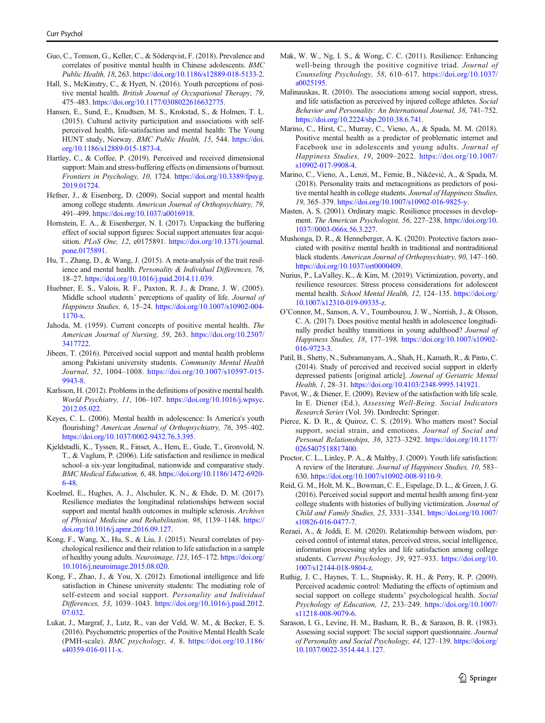- <span id="page-8-0"></span>Guo, C., Tomson, G., Keller, C., & Söderqvist, F. (2018). Prevalence and correlates of positive mental health in Chinese adolescents. BMC Public Health, 18, 263. <https://doi.org/10.1186/s12889-018-5133-2>.
- Hall, S., McKinstry, C., & Hyett, N. (2016). Youth perceptions of positive mental health. British Journal of Occupational Therapy, 79, 475–483. <https://doi.org/10.1177/0308022616632775>.
- Hansen, E., Sund, E., Knudtsen, M. S., Krokstad, S., & Holmen, T. L. (2015). Cultural activity participation and associations with selfperceived health, life-satisfaction and mental health: The Young HUNT study, Norway. BMC Public Health, 15, 544. [https://doi.](https://doi.org/10.1186/s12889-015-1873-4) [org/10.1186/s12889-015-1873-4.](https://doi.org/10.1186/s12889-015-1873-4)
- Hartley, C., & Coffee, P. (2019). Perceived and received dimensional support: Main and stress-buffering effects on dimensions of burnout. Frontiers in Psychology, 10, 1724. [https://doi.org/10.3389/fpsyg.](https://doi.org/10.3389/fpsyg.2019.01724) [2019.01724](https://doi.org/10.3389/fpsyg.2019.01724).
- Hefner, J., & Eisenberg, D. (2009). Social support and mental health among college students. American Journal of Orthopsychiatry, 79, 491–499. [https://doi.org/10.1037/a0016918.](https://doi.org/10.1037/a0016918)
- Hornstein, E. A., & Eisenberger, N. I. (2017). Unpacking the buffering effect of social support figures: Social support attenuates fear acquisition. PLoS One, 12, e0175891. [https://doi.org/10.1371/journal.](https://doi.org/10.1371/journal.pone.0175891) [pone.0175891.](https://doi.org/10.1371/journal.pone.0175891)
- Hu, T., Zhang, D., & Wang, J. (2015). A meta-analysis of the trait resilience and mental health. Personality & Individual Differences, 76, 18–27. [https://doi.org/10.1016/j.paid.2014.11.039.](https://doi.org/10.1016/j.paid.2014.11.039)
- Huebner, E. S., Valois, R. F., Paxton, R. J., & Drane, J. W. (2005). Middle school students' perceptions of quality of life. Journal of Happiness Studies, 6, 15–24. [https://doi.org/10.1007/s10902-004-](https://doi.org/10.1007/s10902-004-1170-x) [1170-x](https://doi.org/10.1007/s10902-004-1170-x).
- Jahoda, M. (1959). Current concepts of positive mental health. The American Journal of Nursing, 59, 263. [https://doi.org/10.2307/](https://doi.org/10.2307/3417722) [3417722.](https://doi.org/10.2307/3417722)
- Jibeen, T. (2016). Perceived social support and mental health problems among Pakistani university students. Community Mental Health Journal, 52, 1004–1008. [https://doi.org/10.1007/s10597-015-](https://doi.org/10.1007/s10597-015-9943-8) [9943-8](https://doi.org/10.1007/s10597-015-9943-8).
- Karlsson, H. (2012). Problems in the definitions of positive mental health. World Psychiatry, 11, 106–107. [https://doi.org/10.1016/j.wpsyc.](https://doi.org/10.1016/j.wpsyc.2012.05.022) [2012.05.022](https://doi.org/10.1016/j.wpsyc.2012.05.022).
- Keyes, C. L. (2006). Mental health in adolescence: Is America's youth flourishing? American Journal of Orthopsychiatry, 76, 395–402. [https://doi.org/10.1037/0002-9432.76.3.395.](https://doi.org/10.1037/0002-9432.76.3.395)
- Kjeldstadli, K., Tyssen, R., Finset, A., Hem, E., Gude, T., Gronvold, N. T., & Vaglum, P. (2006). Life satisfaction and resilience in medical school–a six-year longitudinal, nationwide and comparative study. BMC Medical Education, 6, 48. [https://doi.org/10.1186/1472-6920-](https://doi.org/10.1186/1472-6920-6-48) [6-48.](https://doi.org/10.1186/1472-6920-6-48)
- Koelmel, E., Hughes, A. J., Alschuler, K. N., & Ehde, D. M. (2017). Resilience mediates the longitudinal relationships between social support and mental health outcomes in multiple sclerosis. Archives of Physical Medicine and Rehabilitation, 98, 1139–1148. [https://](https://doi.org/10.1016/j.apmr.2016.09.127) [doi.org/10.1016/j.apmr.2016.09.127.](https://doi.org/10.1016/j.apmr.2016.09.127)
- Kong, F., Wang, X., Hu, S., & Liu, J. (2015). Neural correlates of psychological resilience and their relation to life satisfaction in a sample of healthy young adults. Neuroimage, 123, 165–172. [https://doi.org/](https://doi.org/10.1016/j.neuroimage.2015.08.020) [10.1016/j.neuroimage.2015.08.020](https://doi.org/10.1016/j.neuroimage.2015.08.020).
- Kong, F., Zhao, J., & You, X. (2012). Emotional intelligence and life satisfaction in Chinese university students: The mediating role of self-esteem and social support. Personality and Individual Differences, 53, 1039–1043. [https://doi.org/10.1016/j.paid.2012.](https://doi.org/10.1016/j.paid.2012.07.032) [07.032.](https://doi.org/10.1016/j.paid.2012.07.032)
- Lukat, J., Margraf, J., Lutz, R., van der Veld, W. M., & Becker, E. S. (2016). Psychometric properties of the Positive Mental Health Scale (PMH-scale). BMC psychology, 4, 8. [https://doi.org/10.1186/](https://doi.org/10.1186/s40359-016-0111-x) [s40359-016-0111-x.](https://doi.org/10.1186/s40359-016-0111-x)
- Mak, W. W., Ng, I. S., & Wong, C. C. (2011). Resilience: Enhancing well-being through the positive cognitive triad. Journal of Counseling Psychology, 58, 610–617. [https://doi.org/10.1037/](https://doi.org/10.1037/a0025195) [a0025195.](https://doi.org/10.1037/a0025195)
- Malinauskas, R. (2010). The associations among social support, stress, and life satisfaction as perceived by injured college athletes. Social Behavior and Personality: An International Journal, 38, 741–752. [https://doi.org/10.2224/sbp.2010.38.6.741.](https://doi.org/10.2224/sbp.2010.38.6.741)
- Marino, C., Hirst, C., Murray, C., Vieno, A., & Spada, M. M. (2018). Positive mental health as a predictor of problematic internet and Facebook use in adolescents and young adults. Journal of Happiness Studies, 19, 2009–2022. [https://doi.org/10.1007/](https://doi.org/10.1007/s10902-017-9908-4) [s10902-017-9908-4.](https://doi.org/10.1007/s10902-017-9908-4)
- Marino, C., Vieno, A., Lenzi, M., Fernie, B., Nikčević, A., & Spada, M. (2018). Personality traits and metacognitions as predictors of positive mental health in college students. Journal of Happiness Studies, 19, 365–379. [https://doi.org/10.1007/s10902-016-9825-y.](https://doi.org/10.1007/s10902-016-9825-y)
- Masten, A. S. (2001). Ordinary magic. Resilience processes in development. The American Psychologist, 56, 227–238. [https://doi.org/10.](https://doi.org/10.1037//0003-066x.56.3.227) [1037//0003-066x.56.3.227.](https://doi.org/10.1037//0003-066x.56.3.227)
- Mushonga, D. R., & Henneberger, A. K. (2020). Protective factors associated with positive mental health in traditional and nontraditional black students. American Journal of Orthopsychiatry, 90, 147–160. <https://doi.org/10.1037/ort0000409>.
- Nurius, P., LaValley, K., & Kim, M. (2019). Victimization, poverty, and resilience resources: Stress process considerations for adolescent mental health. School Mental Health, 12, 124-135. [https://doi.org/](https://doi.org/10.1007/s12310-019-09335-z) [10.1007/s12310-019-09335-z.](https://doi.org/10.1007/s12310-019-09335-z)
- O'Connor, M., Sanson, A. V., Toumbourou, J. W., Norrish, J., & Olsson, C. A. (2017). Does positive mental health in adolescence longitudinally predict healthy transitions in young adulthood? Journal of Happiness Studies, 18, 177–198. [https://doi.org/10.1007/s10902-](https://doi.org/10.1007/s10902-016-9723-3) [016-9723-3](https://doi.org/10.1007/s10902-016-9723-3).
- Patil, B., Shetty, N., Subramanyam, A., Shah, H., Kamath, R., & Pinto, C. (2014). Study of perceived and received social support in elderly depressed patients [original article]. Journal of Geriatric Mental Health, 1, 28–31. [https://doi.org/10.4103/2348-9995.141921.](https://doi.org/10.4103/2348-9995.141921)
- Pavot, W., & Diener, E. (2009). Review of the satisfaction with life scale. In E. Diener (Ed.), Assessing Well-Being. Social Indicators Research Series (Vol. 39). Dordrecht: Springer.
- Pierce, K. D. R., & Quiroz, C. S. (2019). Who matters most? Social support, social strain, and emotions. Journal of Social and Personal Relationships, 36, 3273–3292. [https://doi.org/10.1177/](https://doi.org/10.1177/0265407518817400) [0265407518817400](https://doi.org/10.1177/0265407518817400).
- Proctor, C. L., Linley, P. A., & Maltby, J. (2009). Youth life satisfaction: A review of the literature. Journal of Happiness Studies, 10, 583– 630. [https://doi.org/10.1007/s10902-008-9110-9.](https://doi.org/10.1007/s10902-008-9110-9)
- Reid, G. M., Holt, M. K., Bowman, C. E., Espelage, D. L., & Green, J. G. (2016). Perceived social support and mental health among first-year college students with histories of bullying victimization. Journal of Child and Family Studies, 25, 3331–3341. [https://doi.org/10.1007/](https://doi.org/10.1007/s10826-016-0477-7) [s10826-016-0477-7.](https://doi.org/10.1007/s10826-016-0477-7)
- Rezaei, A., & Jeddi, E. M. (2020). Relationship between wisdom, perceived control of internal states, perceived stress, social intelligence, information processing styles and life satisfaction among college students. Current Psychology, 39, 927–933. [https://doi.org/10.](https://doi.org/10.1007/s12144-018-9804-z) [1007/s12144-018-9804-z](https://doi.org/10.1007/s12144-018-9804-z).
- Ruthig, J. C., Haynes, T. L., Stupnisky, R. H., & Perry, R. P. (2009). Perceived academic control: Mediating the effects of optimism and social support on college students' psychological health. Social Psychology of Education, 12, 233–249. [https://doi.org/10.1007/](https://doi.org/10.1007/s11218-008-9079-6) [s11218-008-9079-6.](https://doi.org/10.1007/s11218-008-9079-6)
- Sarason, I. G., Levine, H. M., Basham, R. B., & Sarason, B. R. (1983). Assessing social support: The social support questionnaire. Journal of Personality and Social Psychology, 44, 127–139. [https://doi.org/](https://doi.org/10.1037/0022-3514.44.1.127) [10.1037/0022-3514.44.1.127.](https://doi.org/10.1037/0022-3514.44.1.127)